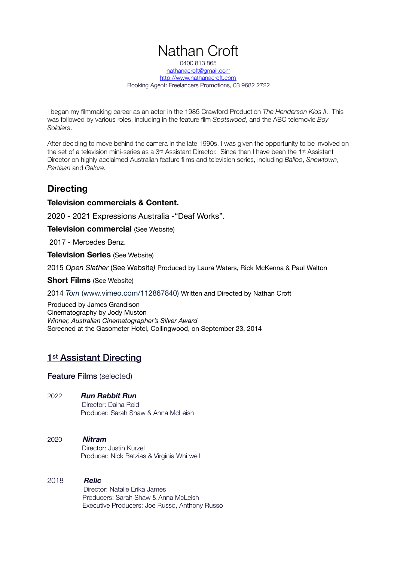# Nathan Croft

0400 813 865 [nathanacroft@gmail.com](mailto:nathanacroft@gmail.com) <http://www.nathanacroft.com> Booking Agent: Freelancers Promotions, 03 9682 2722

I began my filmmaking career as an actor in the 1985 Crawford Production *The Henderson Kids II*. This was followed by various roles, including in the feature film *Spotswood*, and the ABC telemovie *Boy Soldiers*.

After deciding to move behind the camera in the late 1990s, I was given the opportunity to be involved on the set of a television mini-series as a 3rd Assistant Director. Since then I have been the 1st Assistant Director on highly acclaimed Australian feature films and television series, including *Balibo*, *Snowtown*, *Partisan* and *Galore*.

# **Directing**

#### **Television commercials & Content.**

2020 - 2021 Expressions Australia -"Deaf Works".

**Television commercial** (See Website)

2017 - Mercedes Benz.

**Television Series** (See Website)

2015 *Open Slather* (See Website*)* Produced by Laura Waters, Rick McKenna & Paul Walton

#### **Short Films** (See Website)

#### 2014 *Tom* (www.vimeo.com/112867840) Written and Directed by Nathan Croft

Produced by James Grandison Cinematography by Jody Muston *Winner, Australian Cinematographer's Silver Award* Screened at the Gasometer Hotel, Collingwood, on September 23, 2014

#### 1<sup>st</sup> Assistant Directing

Feature Films (selected)

2022 *Run Rabbit Run* 

Director: Daina Reid Producer: Sarah Shaw & Anna McLeish

2020 *Nitram* Director: Justin Kurzel Producer: Nick Batzias & Virginia Whitwell

#### 2018 *Relic*

 Director: Natalie Erika James Producers: Sarah Shaw & Anna McLeish Executive Producers: Joe Russo, Anthony Russo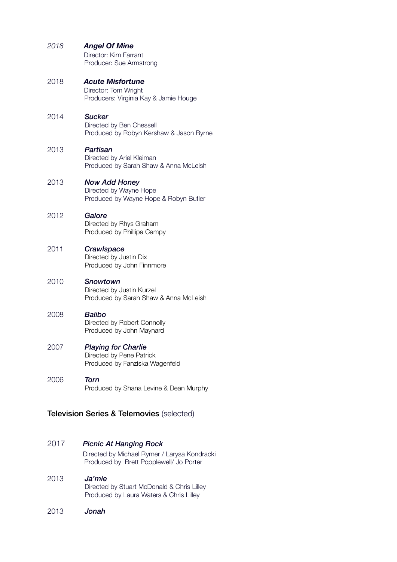| 2018                                      | <b>Angel Of Mine</b><br>Director: Kim Farrant<br>Producer: Sue Armstrong                 |  |
|-------------------------------------------|------------------------------------------------------------------------------------------|--|
| 2018                                      | <b>Acute Misfortune</b><br>Director: Tom Wright<br>Producers: Virginia Kay & Jamie Houge |  |
| 2014                                      | <b>Sucker</b><br>Directed by Ben Chessell<br>Produced by Robyn Kershaw & Jason Byrne     |  |
| 2013                                      | Partisan<br>Directed by Ariel Kleiman<br>Produced by Sarah Shaw & Anna McLeish           |  |
| 2013                                      | <b>Now Add Honey</b><br>Directed by Wayne Hope<br>Produced by Wayne Hope & Robyn Butler  |  |
| 2012                                      | Galore<br>Directed by Rhys Graham<br>Produced by Phillipa Campy                          |  |
| 2011                                      | Crawlspace<br>Directed by Justin Dix<br>Produced by John Finnmore                        |  |
| 2010                                      | Snowtown<br>Directed by Justin Kurzel<br>Produced by Sarah Shaw & Anna McLeish           |  |
| 2008                                      | <b>Balibo</b><br>Directed by Robert Connolly<br>Produced by John Maynard                 |  |
| 2007                                      | <b>Playing for Charlie</b><br>Directed by Pene Patrick<br>Produced by Fanziska Wagenfeld |  |
| 2006                                      | <b>Torn</b><br>Produced by Shana Levine & Dean Murphy                                    |  |
| Television Series & Telemovies (selected) |                                                                                          |  |

### 2017 *Picnic At Hanging Rock*

Directed by Michael Rymer / Larysa Kondracki Produced by Brett Popplewell/ Jo Porter

- 2013 *Ja'mie* Directed by Stuart McDonald & Chris Lilley Produced by Laura Waters & Chris Lilley
- 2013 *Jonah*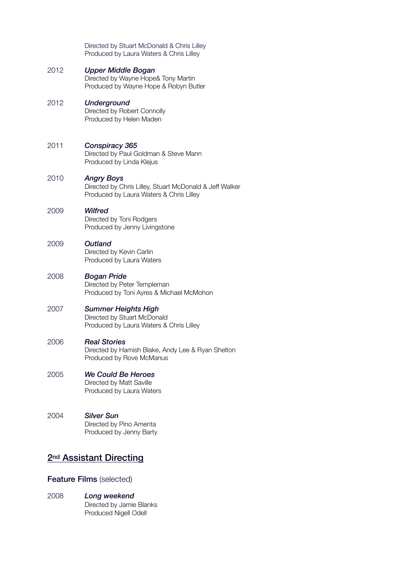|                                     | Directed by Stuart McDonald & Chris Lilley<br>Produced by Laura Waters & Chris Lilley                                   |  |
|-------------------------------------|-------------------------------------------------------------------------------------------------------------------------|--|
| 2012                                | Upper Middle Bogan<br>Directed by Wayne Hope& Tony Martin<br>Produced by Wayne Hope & Robyn Butler                      |  |
| 2012                                | <b>Underground</b><br>Directed by Robert Connolly<br>Produced by Helen Maden                                            |  |
| 2011                                | Conspiracy 365<br>Directed by Paul Goldman & Steve Mann<br>Produced by Linda Klejus                                     |  |
| 2010                                | <b>Angry Boys</b><br>Directed by Chris Lilley, Stuart McDonald & Jeff Walker<br>Produced by Laura Waters & Chris Lilley |  |
| 2009                                | Wilfred<br>Directed by Toni Rodgers<br>Produced by Jenny Livingstone                                                    |  |
| 2009                                | Outland<br>Directed by Kevin Carlin<br>Produced by Laura Waters                                                         |  |
| 2008                                | <b>Bogan Pride</b><br>Directed by Peter Templeman<br>Produced by Toni Ayres & Michael McMohon                           |  |
| 2007                                | <b>Summer Heights High</b><br>Directed by Stuart McDonald<br>Produced by Laura Waters & Chris Lilley                    |  |
| 2006                                | <b>Real Stories</b><br>Directed by Hamish Blake, Andy Lee & Ryan Shelton<br>Produced by Rove McManus                    |  |
| 2005                                | <b>We Could Be Heroes</b><br>Directed by Matt Saville<br>Produced by Laura Waters                                       |  |
| 2004                                | <b>Silver Sun</b><br>Directed by Pino Amenta<br>Produced by Jenny Barty                                                 |  |
| 2 <sup>nd</sup> Assistant Directing |                                                                                                                         |  |

# Feature Films (selected)

2008 *Long weekend* Directed by Jamie Blanks Produced Nigell Odell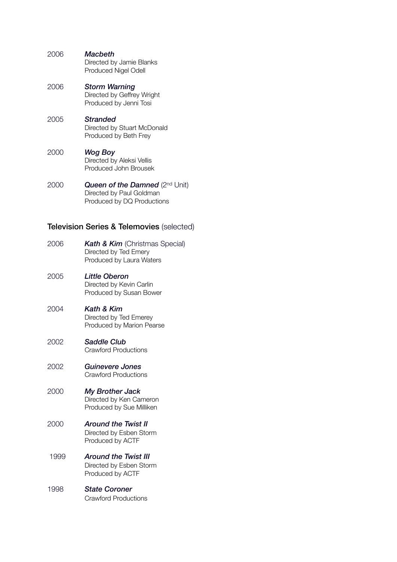| 2006 | Macbeth                                          |
|------|--------------------------------------------------|
|      | Directed by Jamie Blanks<br>Produced Nigel Odell |
|      |                                                  |

- 2006 *Storm Warning* Directed by Geffrey Wright Produced by Jenni Tosi
- 2005 *Stranded* Directed by Stuart McDonald Produced by Beth Frey
- 2000 *Wog Boy* Directed by Aleksi Vellis Produced John Brousek
- 2000 **Queen of the Damned** (2<sup>nd</sup> Unit) Directed by Paul Goldman Produced by DQ Productions

#### Television Series & Telemovies (selected)

- 2006 *Kath & Kim* (Christmas Special) Directed by Ted Emery Produced by Laura Waters
- 2005 *Little Oberon* Directed by Kevin Carlin Produced by Susan Bower
- 2004 *Kath & Kim* Directed by Ted Emerey Produced by Marion Pearse
- 2002 *Saddle Club* Crawford Productions
- 2002 *Guinevere Jones* Crawford Productions
- 2000 *My Brother Jack* Directed by Ken Cameron Produced by Sue Milliken

#### 2000 *Around the Twist II*

 Directed by Esben Storm Produced by ACTF

- 1999 *Around the Twist III* Directed by Esben Storm Produced by ACTF
- 1998 *State Coroner* Crawford Productions